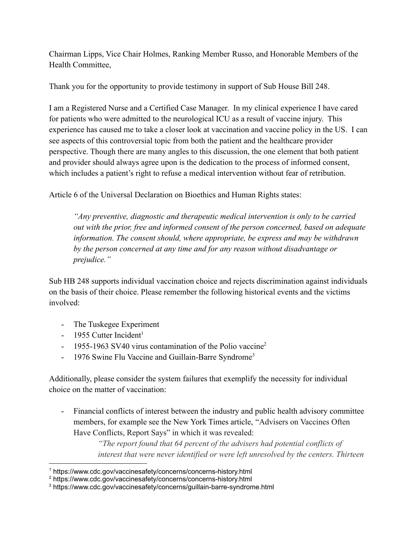Chairman Lipps, Vice Chair Holmes, Ranking Member Russo, and Honorable Members of the Health Committee,

Thank you for the opportunity to provide testimony in support of Sub House Bill 248.

I am a Registered Nurse and a Certified Case Manager. In my clinical experience I have cared for patients who were admitted to the neurological ICU as a result of vaccine injury. This experience has caused me to take a closer look at vaccination and vaccine policy in the US. I can see aspects of this controversial topic from both the patient and the healthcare provider perspective. Though there are many angles to this discussion, the one element that both patient and provider should always agree upon is the dedication to the process of informed consent, which includes a patient's right to refuse a medical intervention without fear of retribution.

Article 6 of the Universal Declaration on Bioethics and Human Rights states:

*"Any preventive, diagnostic and therapeutic medical intervention is only to be carried out with the prior, free and informed consent of the person concerned, based on adequate information. The consent should, where appropriate, be express and may be withdrawn by the person concerned at any time and for any reason without disadvantage or prejudice."*

Sub HB 248 supports individual vaccination choice and rejects discrimination against individuals on the basis of their choice. Please remember the following historical events and the victims involved:

- The Tuskegee Experiment
- $-$  1955 Cutter Incident<sup>1</sup>
- 1955-1963 SV40 virus contamination of the Polio vaccine<sup>2</sup>
- 1976 Swine Flu Vaccine and Guillain-Barre Syndrome<sup>3</sup>

Additionally, please consider the system failures that exemplify the necessity for individual choice on the matter of vaccination:

- Financial conflicts of interest between the industry and public health advisory committee members, for example see the New York Times article, "Advisers on Vaccines Often Have Conflicts, Report Says" in which it was revealed:

> *"The report found that 64 percent of the advisers had potential conflicts of interest that were never identified or were left unresolved by the centers. Thirteen*

<sup>1</sup> https://www.cdc.gov/vaccinesafety/concerns/concerns-history.html

<sup>2</sup> https://www.cdc.gov/vaccinesafety/concerns/concerns-history.html

<sup>3</sup> https://www.cdc.gov/vaccinesafety/concerns/guillain-barre-syndrome.html